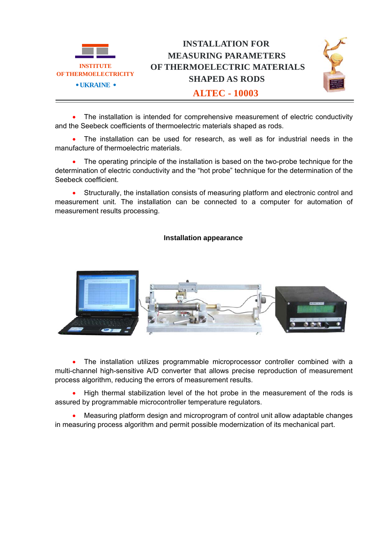

• The installation is intended for comprehensive measurement of electric conductivity and the Seebeck coefficients of thermoelectric materials shaped as rods.

• The installation can be used for research, as well as for industrial needs in the manufacture of thermoelectric materials.

• The operating principle of the installation is based on the two-probe technique for the determination of electric conductivity and the "hot probe" technique for the determination of the Seebeck coefficient.

• Structurally, the installation consists of measuring platform and electronic control and measurement unit. The installation can be connected to a computer for automation of measurement results processing.

## **Installation appearance**



• The installation utilizes programmable microprocessor controller combined with a multi-channel high-sensitive A/D converter that allows precise reproduction of measurement process algorithm, reducing the errors of measurement results.

• High thermal stabilization level of the hot probe in the measurement of the rods is assured by programmable microcontroller temperature regulators.

• Measuring platform design and microprogram of control unit allow adaptable changes in measuring process algorithm and permit possible modernization of its mechanical part.